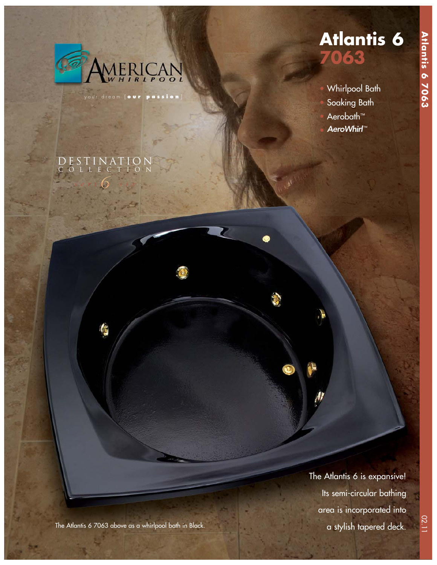

*6*

*series six* 

DESTINATION COLLECTION

your dream [ **our passion** ]

# **Atlantis 6 7063**

• Whirlpool Bath Soaking Bath Aerobath™ AeroWhirl™

The Atlantis 6 is expansive! Its semi-circular bathing area is incorporated into a stylish tapered deck.

02.11

The Atlantis 6 7063 above as a whirlpool bath in Black.